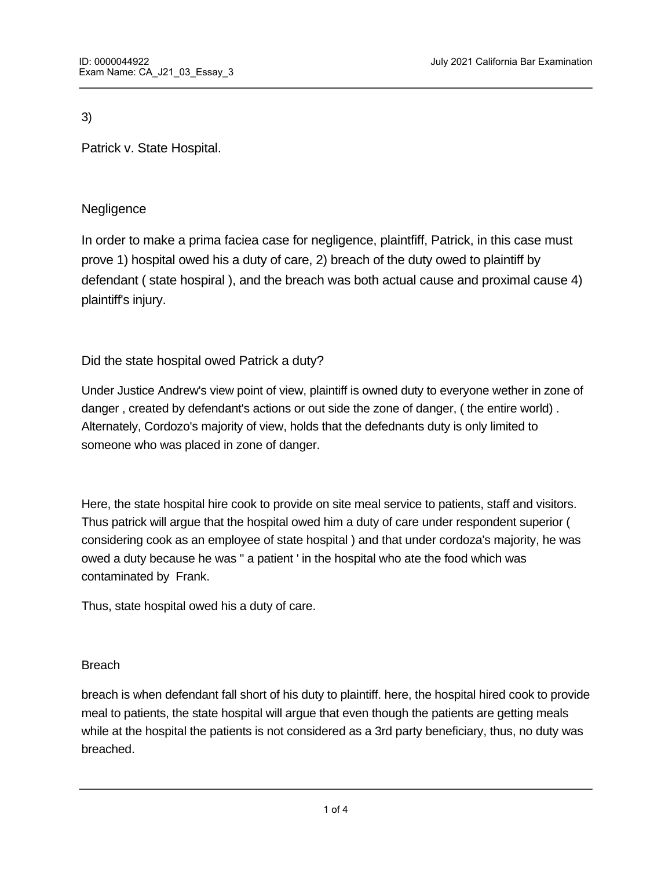3)

Patrick v. State Hospital.

# **Negligence**

In order to make a prima faciea case for negligence, plaintfiff, Patrick, in this case must prove 1) hospital owed his a duty of care, 2) breach of the duty owed to plaintiff by defendant ( state hospiral ), and the breach was both actual cause and proximal cause 4) plaintiff's injury.

Did the state hospital owed Patrick a duty?

Under Justice Andrew's view point of view, plaintiff is owned duty to everyone wether in zone of danger , created by defendant's actions or out side the zone of danger, ( the entire world) . Alternately, Cordozo's majority of view, holds that the defednants duty is only limited to someone who was placed in zone of danger.

Here, the state hospital hire cook to provide on site meal service to patients, staff and visitors. Thus patrick will argue that the hospital owed him a duty of care under respondent superior ( considering cook as an employee of state hospital ) and that under cordoza's majority, he was owed a duty because he was " a patient ' in the hospital who ate the food which was contaminated by Frank.

Thus, state hospital owed his a duty of care.

## Breach

breach is when defendant fall short of his duty to plaintiff. here, the hospital hired cook to provide meal to patients, the state hospital will argue that even though the patients are getting meals while at the hospital the patients is not considered as a 3rd party beneficiary, thus, no duty was breached.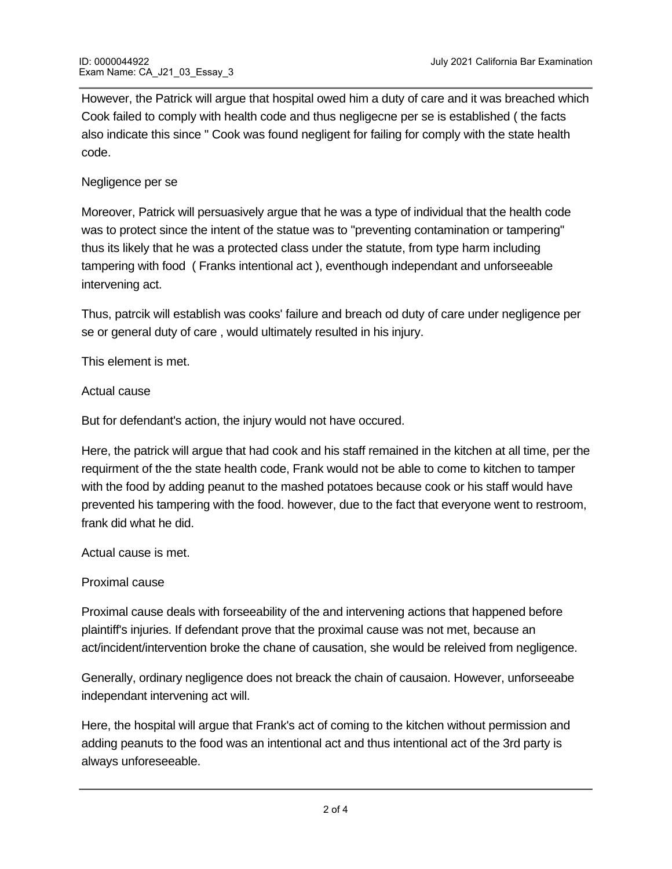However, the Patrick will argue that hospital owed him a duty of care and it was breached which Cook failed to comply with health code and thus negligecne per se is established ( the facts also indicate this since " Cook was found negligent for failing for comply with the state health code.

Negligence per se

Moreover, Patrick will persuasively argue that he was a type of individual that the health code was to protect since the intent of the statue was to "preventing contamination or tampering" thus its likely that he was a protected class under the statute, from type harm including tampering with food ( Franks intentional act ), eventhough independant and unforseeable intervening act.

Thus, patrcik will establish was cooks' failure and breach od duty of care under negligence per se or general duty of care , would ultimately resulted in his injury.

This element is met.

#### Actual cause

But for defendant's action, the injury would not have occured.

Here, the patrick will argue that had cook and his staff remained in the kitchen at all time, per the requirment of the the state health code, Frank would not be able to come to kitchen to tamper with the food by adding peanut to the mashed potatoes because cook or his staff would have prevented his tampering with the food. however, due to the fact that everyone went to restroom, frank did what he did.

Actual cause is met.

Proximal cause

Proximal cause deals with forseeability of the and intervening actions that happened before plaintiff's injuries. If defendant prove that the proximal cause was not met, because an act/incident/intervention broke the chane of causation, she would be releived from negligence.

Generally, ordinary negligence does not breack the chain of causaion. However, unforseeabe independant intervening act will.

Here, the hospital will argue that Frank's act of coming to the kitchen without permission and adding peanuts to the food was an intentional act and thus intentional act of the 3rd party is always unforeseeable.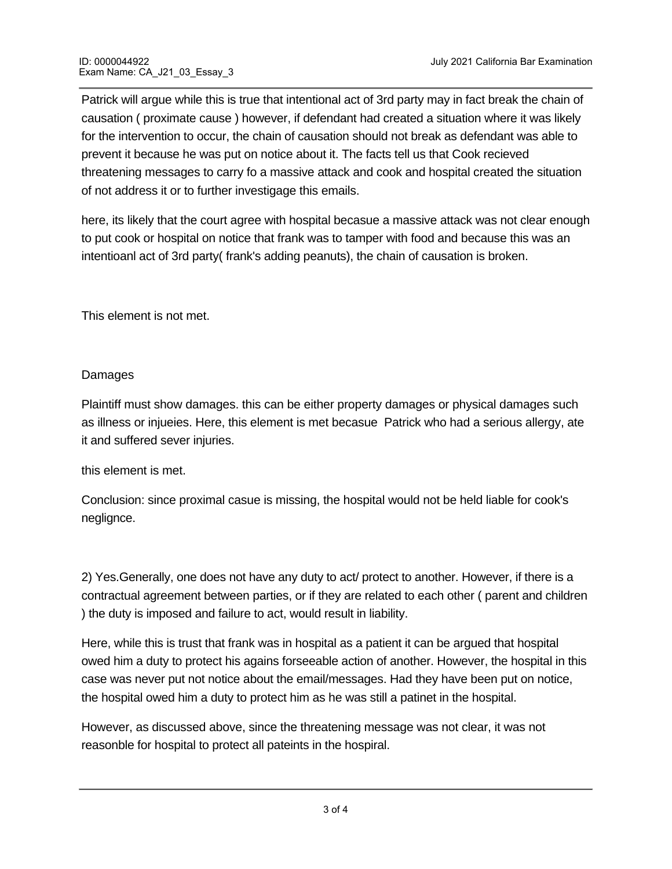Patrick will argue while this is true that intentional act of 3rd party may in fact break the chain of causation ( proximate cause ) however, if defendant had created a situation where it was likely for the intervention to occur, the chain of causation should not break as defendant was able to prevent it because he was put on notice about it. The facts tell us that Cook recieved threatening messages to carry fo a massive attack and cook and hospital created the situation of not address it or to further investigage this emails.

here, its likely that the court agree with hospital becasue a massive attack was not clear enough to put cook or hospital on notice that frank was to tamper with food and because this was an intentioanl act of 3rd party( frank's adding peanuts), the chain of causation is broken.

This element is not met.

## Damages

Plaintiff must show damages. this can be either property damages or physical damages such as illness or injueies. Here, this element is met becasue Patrick who had a serious allergy, ate it and suffered sever injuries.

this element is met.

Conclusion: since proximal casue is missing, the hospital would not be held liable for cook's neglignce.

2) Yes.Generally, one does not have any duty to act/ protect to another. However, if there is a contractual agreement between parties, or if they are related to each other ( parent and children ) the duty is imposed and failure to act, would result in liability.

Here, while this is trust that frank was in hospital as a patient it can be argued that hospital owed him a duty to protect his agains forseeable action of another. However, the hospital in this case was never put not notice about the email/messages. Had they have been put on notice, the hospital owed him a duty to protect him as he was still a patinet in the hospital.

However, as discussed above, since the threatening message was not clear, it was not reasonble for hospital to protect all pateints in the hospiral.